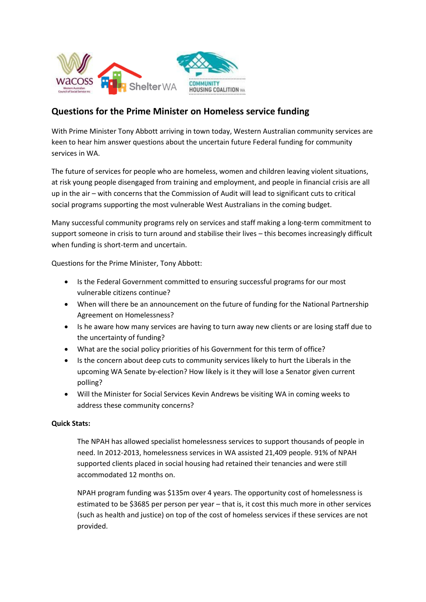

## **Questions for the Prime Minister on Homeless service funding**

With Prime Minister Tony Abbott arriving in town today, Western Australian community services are keen to hear him answer questions about the uncertain future Federal funding for community services in WA.

The future of services for people who are homeless, women and children leaving violent situations, at risk young people disengaged from training and employment, and people in financial crisis are all up in the air – with concerns that the Commission of Audit will lead to significant cuts to critical social programs supporting the most vulnerable West Australians in the coming budget.

Many successful community programs rely on services and staff making a long-term commitment to support someone in crisis to turn around and stabilise their lives – this becomes increasingly difficult when funding is short-term and uncertain.

Questions for the Prime Minister, Tony Abbott:

- Is the Federal Government committed to ensuring successful programs for our most vulnerable citizens continue?
- When will there be an announcement on the future of funding for the National Partnership Agreement on Homelessness?
- Is he aware how many services are having to turn away new clients or are losing staff due to the uncertainty of funding?
- What are the social policy priorities of his Government for this term of office?
- Is the concern about deep cuts to community services likely to hurt the Liberals in the upcoming WA Senate by-election? How likely is it they will lose a Senator given current polling?
- Will the Minister for Social Services Kevin Andrews be visiting WA in coming weeks to address these community concerns?

## **Quick Stats:**

The NPAH has allowed specialist homelessness services to support thousands of people in need. In 2012-2013, homelessness services in WA assisted 21,409 people. 91% of NPAH supported clients placed in social housing had retained their tenancies and were still accommodated 12 months on.

NPAH program funding was \$135m over 4 years. The opportunity cost of homelessness is estimated to be \$3685 per person per year – that is, it cost this much more in other services (such as health and justice) on top of the cost of homeless services if these services are not provided.